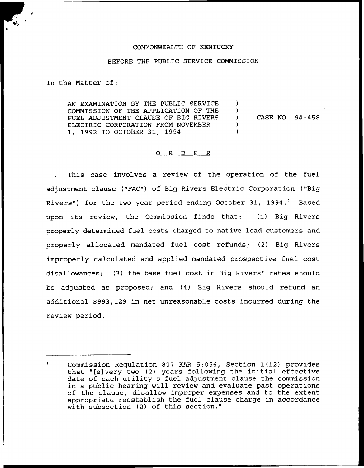#### COMMONWEALTH OF KENTUCKY

#### BEFORE THE PUBLIC SERVICE COMMISSION

In the Matter of:

AN EXAMINATION BY THE PUBLIC SERVICE COMMISSION OF THE APPLICATION OF THE CASE NO. 94-458 FUEL ADJUSTMENT CLAUSE OF BIG RIVERS  $\mathcal{L}$ ELECTRIC CORPORATION FROM NOVEMBER 1, 1992 TO OCTOBER 31, 1994

### 0 R <sup>D</sup> E R

This case involves a review of the operation of the fuel adjustment clause ("FAC") of Big Rivers Electric Corporation ("Big Rivers") for the two year period ending October 31, 1994.<sup>1</sup> Based upon its review, the Commission finds that: (1) Big Rivers properly determined fuel costs charged to native load customers and properly allocated mandated fuel cost refunds; (2) Big Rivers improperly calculated and applied mandated prospective fuel cost disallowances; (3) the base fuel cost in Big Rivers' rates should be adjusted as proposed; and (4) Big Rivers should refund an additional \$993,129 in net unreasonable costs incurred during the review period.

 $\mathbf{L}$ Commission Regulation 807 KAR 5:056, Section 1(12) provides that "[e]very two (2) years following the initial effective date of each utility's fuel adjustment clause the commission in a public hearing will review and evaluate past operations of the clause, disallow improper expenses and to the extent appropriate reestablish the fuel clause charge in accordance with subsection (2) of this section."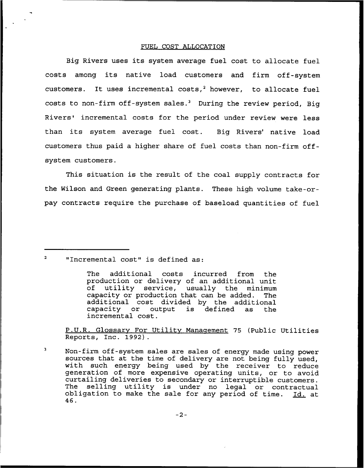#### FUEL COST ALLOCATION

Big Rivers uses its system average fuel cost to allocate fuel costs among its native load customers and firm off-system customers. It uses incremental costs,<sup>2</sup> however, to allocate fuel costs to non-firm off-system sales.<sup>3</sup> During the review period, Big Rivers' incremental costs for the period under review were less than its system average fuel cost. Big Rivers' native load customers thus paid a higher share of fuel costs than non-firm offsystem customers.

This situation is the result of the coal supply contracts for the Wilson and Green generating plants. These high volume take-orpay contracts require the purchase of baseload quantities of fuel

"Incremental cost" is defined as:

The additional costs incurred from the production or delivery of an additional unit<br>of utility service, usually the minimum utility service, usually the minimum<br>city or production that can be added. The capacity or production that can be added. additional cost divided by the additional<br>capacity or output is defined as the capacity or output incremental cost.

P.U.R. Glossary For Utility Management 75 (Public Utilities Reports, Inc. 1992).

 $\overline{\mathbf{3}}$ Non-firm off-system sales are sales of energy made using power sources that at the time of delivery are not being fully used, with such energy being used by the receiver to reduce generation of more expensive operating units, or to avoid curtailing deliveries to secondary or interruptible customers. The selling utility is under no legal or contractual obligation to make the sale for any period of time. Id. at 46.

 $-2-$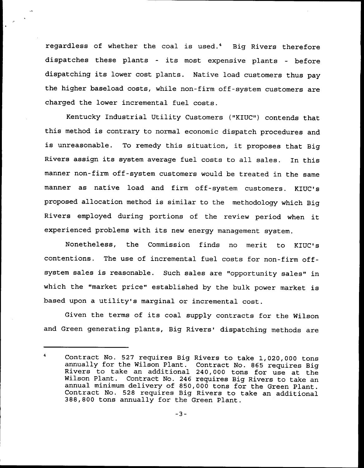regardless of whether the coal is used.<sup>4</sup> Big Rivers therefore dispatches these plants — its most expensive plants — before dispatching its lower cost plants. Native load customers thus pay the higher baseload costs, while non-firm off-system customers are charged the lower incremental fuel costs.

Kentucky Industrial Utility Customers ("KIUC") contends that this method is contrary to normal economic dispatch procedures and is unreasonable. To remedy this situation, it proposes that Big Rivers assign its system average fuel costs to all sales. In this manner non-firm off-system customers would be treated in the same manner as native load and firm off-system customers. KIUC's proposed allocation method is similar to the methodology which Big Rivers employed during portions of the review pexiod when it experienced problems with its new energy management system.

Nonetheless, the Commission finds no merit to KIUC' contentions. The use of incremental fuel costs for non-firm offsystem sales is reasonable. Such sales axe "opportunity sales" in which the "market price" established by the bulk power market is based upon <sup>a</sup> utility's marginal or incremental cost.

Given the terms of its coal supply contracts for the Wilson and Green generating plants, Big Rivers' dispatching methods are

 $\blacktriangle$ Contract No. 527 requires Big Rivers to take 1,020,000 tons annually for the Wilson Plant. Contract No. <sup>865</sup> requires Big Rivers to take an additional 240,000 tons for use at the Wilson Plant. Contract No. 246 requires Big Rivers to take an annual minimum delivery of 850,000 tons for the Green Plant. Contract No. 528 requires Big Rivers to take an additional<br>388,800 tons annually for the Green Plant.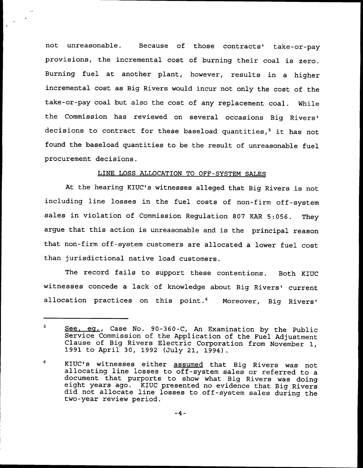not unreasonable. Because of those contracts' take-or-pay provisions, the incremental cost of burning their coal is zero. Burning fuel at another plant, however, results in a higher incremental cost as Big Rivers would incur not only the cost of the take-or-pay coal but also the cost of any replacement coal. While the Commission has reviewed on several occasions Big decisions to contract for these baseload quantities,<sup>5</sup> it has not found the baseload quantities to be the result of unreasonable fuel procurement decisions.

## LINE LOSS ALLOCATION TO OFF-SYSTEM SALES

At the hearing KIUC's witnesses alleged that Big Rivers is not including line losses in the fuel costs of non-firm off-system sales in violation of Commission Regulation 807 KAR 5:056. They argue that this action is unreasonable and is the principal reason that non-firm off-system customers are allocated a lower fuel cost than jurisdictional native load customers.

The record fails to support these contentions. Both KIUC witnesses concede a lack of knowledge about Big Rivers' current allocation practices on this point.<sup>6</sup> Moreover, Big Rivers'

<sup>5</sup> See. eg., Case No. 90-360-C, An Examination by the Public Service Commission of the Application of the Fuel Adjustment Clause of Big Rivers Electric Corporation from November 1, 1991 to April 30, 1992 (July 21, 1994).

<sup>6</sup> KIUC's witnesses either assumed that Big Rivers was not allocating line losses to off-system sales or referred to a document that purports to show what Big Rivers was doing eight years ago. KIUC presented no evidence that Big Rivers did not allocate line losses to off-system sales during the two-year review period.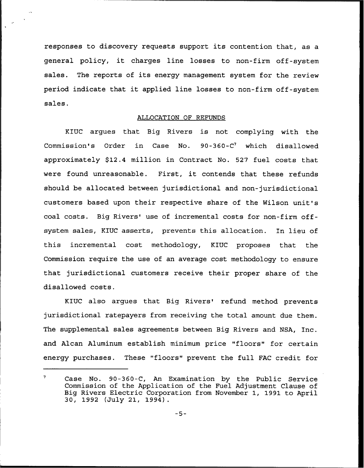responses to discovery requests support its contention that, as a general policy, it charges line losses to non-firm off-system sales. The reports of its energy management system for the review period indicate that it applied line losses to non-firm off-system sales.

### ALLOCATION OF REFUNDS

KIUC argues that Big Rivers is not complying with the Commission's Order in Case No. 90-360-C<sup>7</sup> which disallowed approximately \$12.4 million in Contract No. 527 fuel costs that were found unreasonable. First, it contends that these refunds should be allocated between jurisdictional and non-jurisdictional customers based upon their respective share of the Wilson unit's coal costs. Big Rivers' use of incremental costs for non-firm offsystem sales, KIUC asserts, prevents this allocation. In lieu of this incremental cost methodology, KIUC proposes that the Commission require the use of an average cost methodology to ensure that jurisdictional customers receive their proper share of the disallowed costs.

KIUC also argues that Big Rivers' refund method prevents jurisdictional ratepayers from receiving the total amount due them. The supplemental sales agreements between Big Rivers and NSA, Inc. and Alcan Aluminum establish minimum price "floors" for certain energy purchases. These "floors" prevent the full FAC credit for

 $\overline{7}$ Case No. 90-360-C, An Examination by the Public Service Commission of the Application of the Fuel Adjustment Clause of Big Rivers Electric Corporation from November 1, 1991 to April 30, 1992 (July 21, 1994) .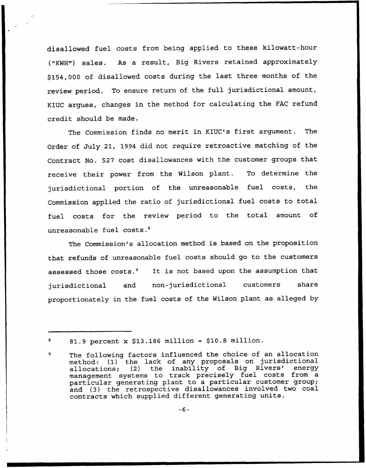disallowed fuel costs from being applied to these kilowatt-hour ("KWH") sales. As a result, Big Rivers retained approximately \$154,000 of disallowed costs during the last three months of the review period. To ensure return of the full jurisdictional amount, KIUC argues, changes in the method for calculating the FAC refund credit should be made.

The Commission finds no merit in KIUC's first argument. The Order of July 21, 1994 did not require retroactive matching of the Contract No. 527 cost disallowances with the customer groups that receive their power from the Wilson plant. To determine the jurisdictional portion of the unreasonable fuel costs, the Commission applied the ratio of jurisdictional fuel costs to total fuel costs for the review period to the total amount of unreasonable fuel costs.<sup>8</sup>

The Commission's allocation method is based on the proposition that refunds of unreasonable fuel costs should go to the customers assessed those costs.<sup>9</sup> It is not based upon the assumption that jurisdictional and non-jurisdictional customers share proportionately in the fuel costs of the Wilson plant as alleged by

<sup>81.9</sup> percent  $x$  \$13.186 million = \$10.8 million.

The following factors influenced the choice of an allocation method: (1) the lack of any proposals on jurisdiction method: (1) the fack of any proposars on jurisdiction<br>allocations; (2) the inability of Big Rivers' ener management systems to track precisely fuel costs from a particular generating plant to a particular customer group; and (3) the retrospective disallowances involved two coal contracts which supplied different generating units.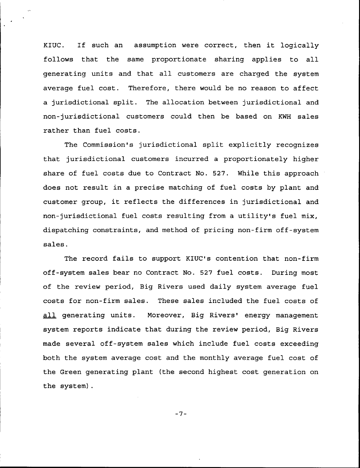KIUC. If such an assumption were correct, then it logically follows that the same proportionate sharing applies to all generating units and that all customers are charged the system average fuel cost. Therefore, there would be no reason to affect a jurisdictional split. The allocation between jurisdictional and non-jurisdictional customers could then be based on KWH sales rather than fuel costs.

The Commission's jurisdictional split explicitly recognizes that jurisdictional customers incurred a proportionately higher share of fuel costs due to Contract No. 527. While this approach does not result in a precise matching of fuel costs by plant and customer group, it reflects the differences in jurisdictional and non-jurisdictional fuel costs resulting from a utility's fuel mix, dispatching constraints, and method of pricing non-firm off-system sales.

The record fails to support KIUC's contention that non-firm off-system sales bear no Contract No. 527 fuel costs. During most of the review period, Big Rivers used daily system average fuel costs for non-firm sales. These sales included the fuel costs of all generating units. Moreover, Big Rivers' energy management system reports indicate that during the review period, Big Rivers made several off-system sales which include fuel costs exceeding both the system average cost and the monthly average fuel cost of the Green generating plant (the second highest cost generation on the system).

 $-7-$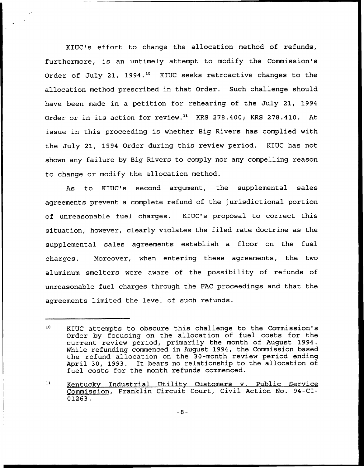KIUC's effort to change the allocation method of refunds, furthermore, is an untimely attempt to modify the Commission's Order of July 21, 1994.<sup>10</sup> KIUC seeks retroactive changes to the allocation method prescribed in that Order. Such challenge should have been made in a petition for rehearing of the July 21, 1994 Order or in its action for review.<sup>11</sup> KRS 278.400; KRS 278.410. At issue in this proceeding is whether Big Rivers has complied with the July 21, 1994 Order during this review period. KIUC has not shown any failure by Big Rivers to comply nor any compelling reason to change or modify the allocation method.

As to KIUC's second argument, the supplemental sales agreements prevent a complete refund of the jurisdictional portion of unreasonable fuel charges. KIUC's proposal to correct this situation, however, clearly violates the filed rate doctrine as the supplemental sales agreements establish a floor on the fuel chaxges. Moreover, when entexing these agreements, the two aluminum smelters were aware of the possibility of refunds of unreasonable fuel charges through the FAC proceedings and that the agreements limited the level of such refunds.

<sup>10</sup> KIUC attempts to obscure this challenge to the Commission's Order by focusing on the allocation of fuel costs for the curxent review period, pximarily the month of August 1994. While refunding commenced in August 1994, the Commission based the refund allocation on the 30-month review period ending April 30, 1993. It bears no relationship to the allocation of fuel costs for the month refunds commenced.

 $11$ Kentucky Industrial Utility Customers v. Public Service Commission, Franklin Circuit Court, Civil Action No. 94-CI-01263.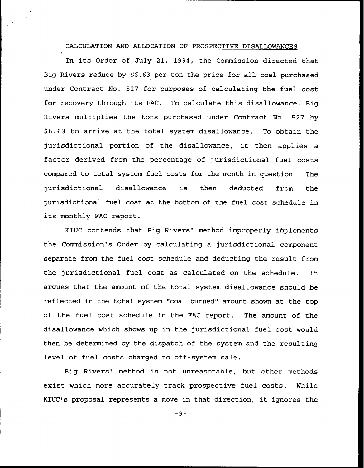### CALCULATION AND ALLOCATION OF PROSPECTIVE DISALLOWANCES

In its Order of July 21, 1994, the Commission directed that Big Rivers reduce by \$6.63 per ton the price for all coal purchased under Contract No. 527 for purposes of calculating the fuel cost for recovery through its FAC. To calculate this disallowance, Big Rivers multiplies the tons purchased under Contract No. 527 by \$ 6.63 to arrive at the total system disallowance. To obtain the jurisdictional portion of the disallowance, it then applies <sup>a</sup> factor derived from the percentage of jurisdictional fuel costs compared to total system fuel costs for the month in question. The jurisdictional disallowance is then deducted from the jurisdictional fuel cost at the bottom of the fuel cost schedule in its monthly FAC report.

KIUC contends that Big Rivers' method improperly implements the Commission's Order by calculating a jurisdictional component separate from the fuel cost schedule and deducting the result from the jurisdictional fuel cost as calculated on the schedule. It argues that the amount of the total system disallowance should be reflected in the total system "coal burned" amount shown at the top of the fuel cost schedule in the FAC report. The amount of the disallowance which shows up in the jurisdictional fuel cost would then be determined by the dispatch of the system and the resulting level of fuel costs charged to off-system sale.

Big Rivers' method is not unreasonable, but other methods exist which more accurately track prospective fuel costs. While KIUC's proposal represents <sup>a</sup> move in that direction, it ignores the

 $-9-$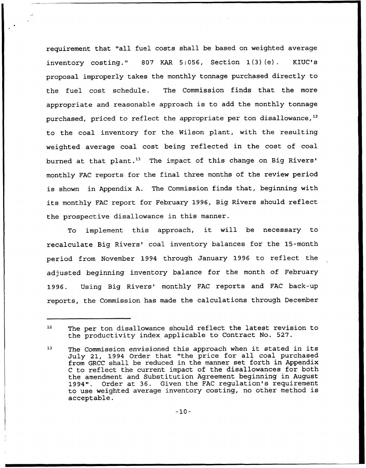requirement that "all fuel costs shall be based on weighted average inventory costing." <sup>807</sup> KAR 5:056, Section 1(3)(e). KIUC's proposal improperly takes the monthly tonnage purchased directly to the fuel cost schedule. The Commission finds that the more appropriate and reasonable approach is to add the monthly tonnage appropriate and reasonable approach is to dud the monthly connage<br>purchased, priced to reflect the appropriate per ton disallowance,<sup>12</sup> to the coal inventory for the Wilson plant, with the resulting weighted average coal cost being reflected in the cost of coal burned at that plant.<sup>13</sup> The impact of this change on Big Rivers' monthly FAC reports for the final three months of the review period is shown in Appendix A. The Commission finds that, beginning with its monthly FAC report for February 1996, Big Rivers should reflect the prospective disallowance in this manner.

To implement this approach, it will be necessary to recalculate Big Rivers' coal inventory balances for the 15-month period from November 1994 through January 1996 to reflect the adjusted beginning inventory balance for the month of February 1996. Using Big Rivers' monthly FAC reports and FAC back-up reports, the Commission has made the calculations through December

 $12$ The per ton disallowance should reflect the latest revision to the productivity index applicable to Contract No. 527.

<sup>13</sup> The Commission envisioned this approach when it stated in its July 21, 1994 Order that "the price for all coal purchased from GRCC shall be reduced in the manner set forth in Appendix <sup>C</sup> to reflect the current impact of the disallowances for both the amendment and Substitution Agreement beginning in August<br>1994". Order at 36. Given the FAC regulation's requirement Order at 36. Given the FAC regulation's requirement to use weighted average inventory costing, no other method is acceptable.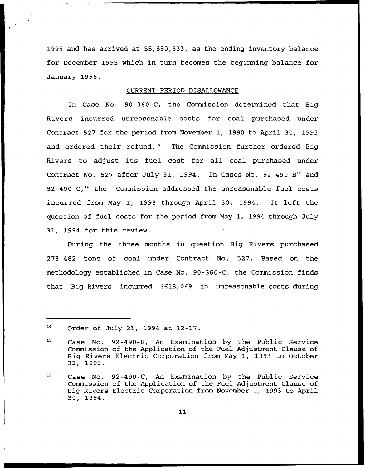1995 and has arrived at \$5,880,333, as the ending inventory balance for December 1995 which in turn becomes the beginning balance for January 1996.

### CURRENT PERIOD DISALLOWANCE

In Case No. 90-360-C, the Commission determined that Big Rivers incurred unreasonable costs for coal purchased under Contract 527 for the period from November 1, 1990 to April 30, 1993 and ordered their refund.<sup>14</sup> The Commission further ordered Big Rivers to adjust its fuel cost for all coal purchased under Contract No. 527 after July 31, 1994. In Cases No. 92-490-B<sup>15</sup> and 92-490-C,<sup>16</sup> the Commission addressed the unreasonable fuel costs incurred from May 1, 1993 through April 30, 1994. It left the question of fuel costs for the period from May 1, 1994 through July 31, 1994 for this review.

During the three months in question Big Rivers purchased 273,482 tons of coal under Contract No. 527. Based on the methodology established in Case No. 90-360-C, the Commission finds that Big Rivers incurred \$618,069 in unreasonable costs during

 ${\bf 14}$ Order of July 21, 1994 at 12-17.

<sup>15</sup> Case No. 92-490-B, An Examination by the Public Service Commission of the Application of the Fuel Adjustment Clause of Big Rivers Electric Corporation from May 1, 1993 to October 31, 1993.

<sup>&</sup>lt;sup>16</sup> Case No. 92-490-C, An Examination by the Public Service Commission of the Application of the Fuel Adjustment Clause of Big Rivers Electric Corporation from November 1, 1993 to April 30, 1994.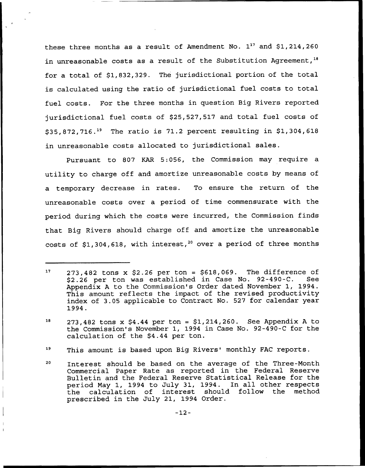these three months as a result of Amendment No.  $1^{17}$  and \$1,214,260 in unreasonable costs as a result of the Substitution Agreement,  $18$ for a total of \$1,832,329. The jurisdictional portion of the total is calculated using the ratio of jurisdictional fuel costs to total fuel costs. For the three months in question Big Rivers reported jurisdictional fuel costs of \$25,527,517 and total fuel costs of  $$35,872,716.<sup>19</sup>$  The ratio is 71.2 percent resulting in \$1,304,618 in unreasonable costs allocated to jurisdictional sales.

Pursuant to 807 KAR 5:056, the Commission may require a utility to charge off and amortize unreasonable costs by means of a temporary decrease in rates. To ensure the return of the unreasonable costs over a period of time commensurate with the period during which the costs were incurred, the Commission finds that Big Rivers should charge off and amortize the unreasonable costs of \$1,304,618, with interest,<sup>20</sup> over a period of three months

19 This amount is based upon Big Rivers' monthly FAC reports.

 $17$  273,482 tons x \$2.26 per ton = \$618,069. The difference of \$2.26 per ton was established in Case No. 92-490-C. See \$2.26 per ton was established in Case No. 92-490-C. Appendix <sup>A</sup> to the Commission's Order dated November 1, 1994. This amount reflects the impact of the revised productivity index of 3.05 applicable to Contract No. 527 for calendar year 1994.

 $18$  273,482 tons x \$4.44 per ton = \$1,214,260. See Appendix A to the Commission's November 1, 1994 in Case No. 92-490-C for the calculation of the \$4.44 per ton.

<sup>20</sup> Interest should be based on the average of the Three-Month Commercial Paper Rate as reported in the Federal Reserve Bulletin and the Federal Reserve Statistical Release for the period May 1, 1994 to July 31, 1994. In all other respects calculation of interest should follow prescribed in the July 21, 1994 Order.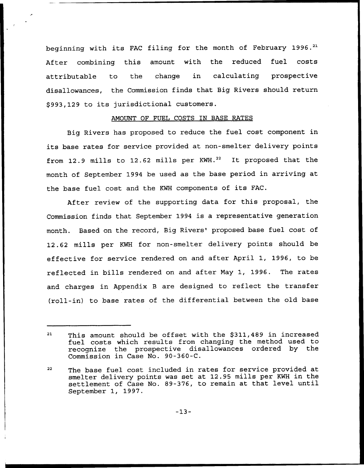beginning with its FAC filing for the month of February 1996.<sup>21</sup> After combining this amount with the reduced fuel costs attributable to the change in calculating prospective disallowances, the Commission finds that Big Rivers should return \$ 993,129 to its jurisdictional customers.

### ANOUNT OF FUEL COSTS IN BASE RATES

Big Rivers has proposed to reduce the fuel cost component in its base rates for service provided at non-smelter delivery points from 12.9 mills to 12.62 mills per  $KWH.^{22}$  It proposed that the month of September 1994 be used as the base period in axriving at the base fuel cost and the KWH components of its FAC.

After review of the supporting data for this proposal, the Commission finds that September 1994 is a repxesentative generation month. Based on the record, Big Rivers' proposed base fuel cost of 12.62 mills per KWH for non-smelter delivery points should be effective for service rendered on and after April 1, 1996, to be reflected in bills rendered on and after Nay 1, 1996. The rates and charges in Appendix <sup>B</sup> are designed to reflect the transfer (roll-in) to base rates of the differential between the old base

This amount should be offset with the \$311,489 in increased  $21$ fuel costs which results from changing the method used to recognize the prospective disallowances ordered by the Commission in Case No. 90-360-C.

<sup>&</sup>lt;sup>22</sup> The base fuel cost included in rates for service provided at smelter delivery points was set at 12.95 mills pex KWH in the settlement of Case No. 89-376, to remain at that level until September 1, 1997.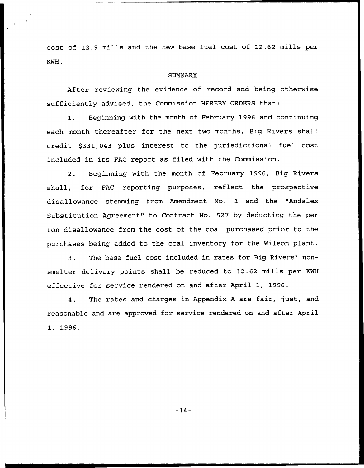cost of 12.9 mills and the new base fuel cost of 12.62 mills per KWH.

### **SUMMARY**

After reviewing the evidence of record and being otherwise sufficiently advised, the Commission HEREBY ORDERS that:

1. Beginning with the month of February 1996 and continuing each month thereafter for the next two months, Big Rivers shall credit \$331,043 plus interest to the jurisdictional fuel cost included in its FAC report as filed with the Commission.

2. Beginning with the month of February 1996, Big Rivers shall, for FAC reporting purposes, reflect the prospective disallowance stemming from Amendment No. 1 and the "Andalex Substitution Agreement" to Contract No. 527 by deducting the per ton disallowance from the cost of the coal purchased prior to the purchases being added to the coal inventory for the Wilson plant.

3. The base fuel cost included in rates for Big Rivers' nonsmelter delivery points shall be reduced to 12.62 mills per KWH effective for service rendered on and after April 1, 1996.

4. The rates and charges in Appendix <sup>A</sup> are fair, just, and reasonable and are approved for service rendered on and after April 1, 1996.

 $-14-$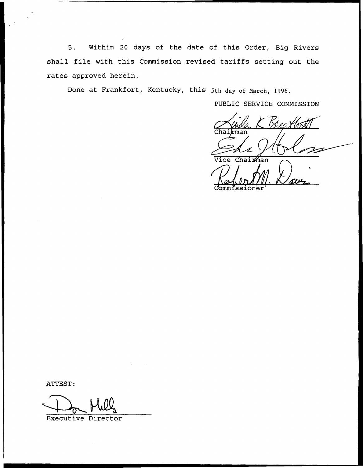5. Within 20 days of the date of this Order, Big Rivers shall file with this Commission revised tariffs setting out the rates approved herein.

Done at Frankfort, Kentucky, this 5th day of Narch, 1996.

PUBLIC SERVICE COMMISSION

Vice Chairman Commissioner

ATTEST:

Executive Director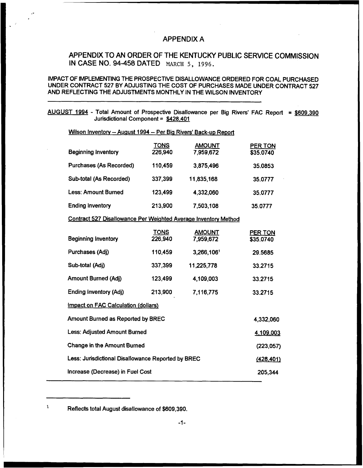# APPENDIX A

# APPENDIX TO AN ORDER OF THE KENTUCKY PUBLIC SERVICE COMMISSION IN CASE NO. 94-458 DATED MARCH 5, 1996.

## IMPACT OF IMPLEMENTING THE PROSPECTIVE DISALLOWANCE ORDERED FOR COAL PURCHASED UNDER CONTRACT 527 BY ADJUSTING THE COST OF PURCHASES MADE UNDER CONTRACT 527 AND REFLECTING THE ADJUSTMENTS MONTHLY IN THE WILSON INVENTORY

AUGUST 1994 - Total Amount of Prospective Disallowance per Big Rivers' FAC Report = \$609,390 Jurisdictional Component = \$428.401

| Wilson Inventory -- August 1994 -- Per Big Rivers' Back-up Report |                        |                            |                             |
|-------------------------------------------------------------------|------------------------|----------------------------|-----------------------------|
| <b>Beginning Inventory</b>                                        | <b>TONS</b><br>226,940 | <b>AMOUNT</b><br>7,959,672 | <b>PER TON</b><br>\$35.0740 |
| Purchases (As Recorded)                                           | 110,459                | 3,875,496                  | 35.0853                     |
| <b>Sub-total (As Recorded)</b>                                    | 337,399                | 11,835,168                 | 35.0777                     |
| <b>Less: Amount Burned</b>                                        | 123,499                | 4,332,060                  | 35.0777                     |
| <b>Ending Inventory</b>                                           | 213,900                | 7,503,108                  | 35.0777                     |
| Contract 527 Disallowance Per Weighted Average Inventory Method   |                        |                            |                             |
| <b>Beginning Inventory</b>                                        | <b>TONS</b><br>226,940 | <b>AMOUNT</b><br>7,959,672 | <b>PER TON</b><br>\$35.0740 |
| Purchases (Adj)                                                   | 110,459                | 3,266,1061                 | 29.5685                     |
| Sub-total (Adj)                                                   | 337,399                | 11,225,778                 | 33.2715                     |
| <b>Amount Burned (Adj)</b>                                        | 123,499                | 4,109,003                  | 33.2715                     |
| <b>Ending Inventory (Adj)</b>                                     | 213,900                | 7,116,775                  | 33.2715                     |
| Impact on FAC Calculation (dollars)                               |                        |                            |                             |
| Amount Burned as Reported by BREC                                 |                        |                            | 4,332,060                   |
| <b>Less: Adjusted Amount Burned</b>                               |                        |                            | 4,109,003                   |
| <b>Change in the Amount Burned</b>                                |                        |                            | (223, 057)                  |
| Less: Junsdictional Disallowance Reported by BREC                 |                        |                            | (428, 401)                  |
| Increase (Decrease) in Fuel Cost                                  |                        |                            | 205,344                     |

 $\mathbf 1$ Reflects total August disallowance of \$609,390.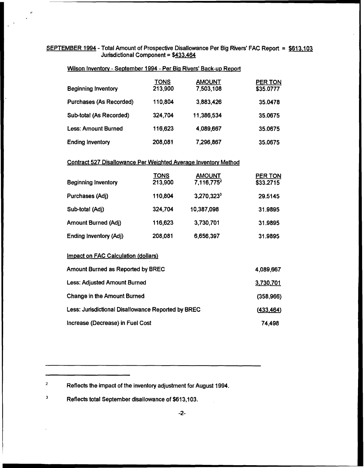## SEPTEMBER 1994 - Total Amount of Prospective Disallowance Per Big Rivers' FAC Report = \$613.103 Jurisdictional Component = \$433.464

|                                | <u>TONS</u> | <b>AMOUNT</b> | <b>PER TON</b> |
|--------------------------------|-------------|---------------|----------------|
| <b>Beginning Inventory</b>     | 213,900     | 7,503,108     | \$35.0777      |
| <b>Purchases (As Recorded)</b> | 110,804     | 3,883,426     | 35.0478        |
| <b>Sub-total (As Recorded)</b> | 324,704     | 11,386,534    | 35.0675        |
| <b>Less: Amount Burned</b>     | 116,623     | 4,089,667     | 35.0675        |
| <b>Ending Inventory</b>        | 208,081     | 7,296,867     | 35.0675        |

## Wilson Inventory - September 1994 - Per Big Rivers' Back-up Report

# Contract 527 Disallowance Per Weighted Average Inventory Method

| <b>Beginning Inventory</b>    | <b>TONS</b><br>213,900 | <b>AMOUNT</b><br>7,116,775 <sup>2</sup> | <b>PER TON</b><br>\$33.2715 |
|-------------------------------|------------------------|-----------------------------------------|-----------------------------|
| Purchases (Adj)               | 110,804                | $3,270,323^3$                           | 29.5145                     |
| Sub-total (Adj)               | 324,704                | 10,387,098                              | 31.9895                     |
| <b>Amount Burned (Adj)</b>    | 116,623                | 3,730,701                               | 31.9895                     |
| <b>Ending Inventory (Adj)</b> | 208,081                | 6,656,397                               | 31,9895                     |

## Impact on FAC Calculation (dollars)

| <b>Amount Burned as Reported by BREC</b>          | 4,089,667  |
|---------------------------------------------------|------------|
| <b>Less: Adjusted Amount Burned</b>               | 3,730,701  |
| Change in the Amount Burned                       | (358, 966) |
| Less: Junsdictional Disallowance Reported by BREC | (433, 464) |
| Increase (Decrease) in Fuel Cost                  | 74,498     |

 $\mathbf 2$ Reflects the impact of the inventory adjustment for August 1994.

 $\mathbf 3$ Reflects total September disallowance of \$613,103.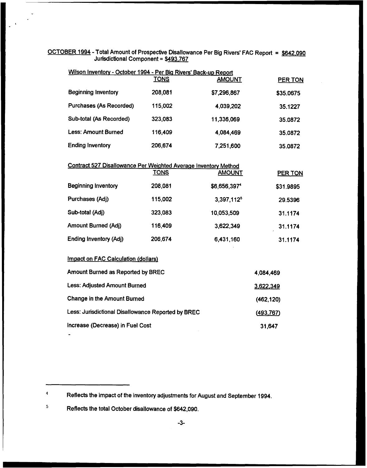## OCTOBER 1994 - Total Amount of Prospective Disallowance Per Big Rivers' FAC Report = \$642,090 Jurisdictional Component = \$493.767

| Wilson Inventory - October 1994 - Per Big Rivers' Back-up Report |             |                          |                |
|------------------------------------------------------------------|-------------|--------------------------|----------------|
|                                                                  | <b>TONS</b> | <b>AMOUNT</b>            | <b>PER TON</b> |
| <b>Beginning Inventory</b>                                       | 208,081     | \$7,296,867              | \$35.0675      |
| <b>Purchases (As Recorded)</b>                                   | 115,002     | 4,039,202                | 35.1227        |
| <b>Sub-total (As Recorded)</b>                                   | 323,083     | 11,336,069               | 35.0872        |
| <b>Less: Amount Burned</b>                                       | 116,409     | 4,084,469                | 35.0872        |
| <b>Ending Inventory</b>                                          | 206,674     | 7,251,600                | 35.0872        |
| Contract 527 Disallowance Per Weighted Average Inventory Method  |             |                          |                |
|                                                                  | <b>TONS</b> | <b>AMOUNT</b>            | <b>PER TON</b> |
| <b>Beginning Inventory</b>                                       | 208,081     | \$6,656,397 <sup>4</sup> | \$31.9895      |
| Purchases (Adj)                                                  | 115,002     | 3,397,112 <sup>5</sup>   | 29.5396        |
| Sub-total (Adj)                                                  | 323,083     | 10,053,509               | 31.1174        |
| <b>Amount Burned (Adj)</b>                                       | 116,409     | 3,622,349                | 31.1174        |
| <b>Ending Inventory (Adj)</b>                                    | 206,674     | 6,431,160                | 31.1174        |
| <b>Impact on FAC Calculation (dollars)</b>                       |             |                          |                |
| <b>Amount Burned as Reported by BREC</b>                         |             |                          | 4,084,469      |
| <b>Less: Adjusted Amount Burned</b>                              |             |                          | 3,622,349      |
| <b>Change in the Amount Burned</b>                               |             |                          | (462, 120)     |
| Less: Jurisdictional Disallowance Reported by BREC               |             |                          | (493,767)      |
| Increase (Decrease) in Fuel Cost                                 |             |                          | 31,647         |

 $\pmb{4}$ Reflects the impact of the inventory adjustments for August and September 1994.

 $\overline{\mathbf{5}}$ Reflects the total October disallowance of \$642,090.